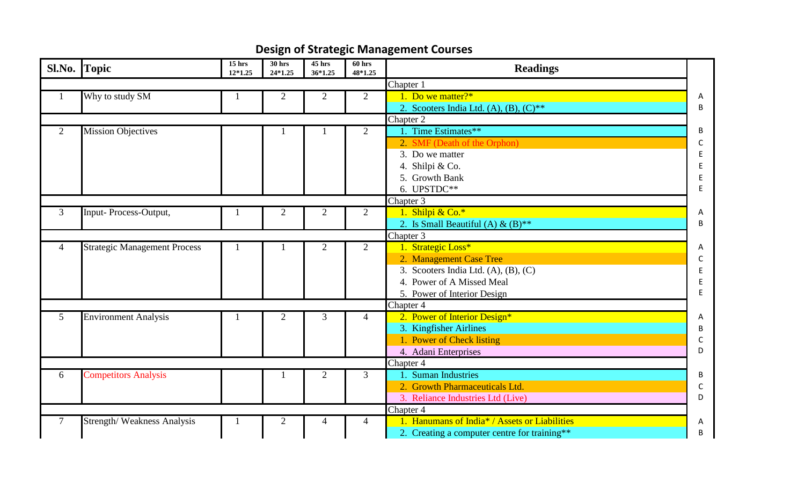## **Design of Strategic Management Courses**

|                | Sl.No. Topic                        | $15$ hrs<br>12*1.25 | $30$ hrs<br>24*1.25 | 45 hrs<br>36*1.25 | 60 hrs<br>48*1.25 | <b>Readings</b>                               |   |
|----------------|-------------------------------------|---------------------|---------------------|-------------------|-------------------|-----------------------------------------------|---|
|                |                                     |                     |                     |                   |                   | Chapter 1                                     |   |
|                | Why to study SM                     |                     | $\overline{2}$      | 2                 | $\overline{2}$    | 1. Do we matter?*                             | A |
|                |                                     |                     |                     |                   |                   | 2. Scooters India Ltd. (A), (B), $(C)**$      | B |
|                |                                     |                     |                     |                   |                   | Chapter 2                                     |   |
| $\overline{2}$ | Mission Objectives                  |                     |                     |                   | $\overline{2}$    | Time Estimates**                              | В |
|                |                                     |                     |                     |                   |                   | 2. SMF (Death of the Orphon)                  | C |
|                |                                     |                     |                     |                   |                   | 3. Do we matter                               |   |
|                |                                     |                     |                     |                   |                   | 4. Shilpi & Co.                               |   |
|                |                                     |                     |                     |                   |                   | 5. Growth Bank                                | E |
|                |                                     |                     |                     |                   |                   | 6. UPSTDC**                                   | F |
|                |                                     |                     |                     |                   |                   | Chapter 3                                     |   |
| 3              | Input- Process-Output,              |                     | $\overline{2}$      | $\overline{2}$    | $\overline{2}$    | 1. Shilpi & Co.*                              | A |
|                |                                     |                     |                     |                   |                   | 2. Is Small Beautiful (A) & $(B)$ **          | B |
|                |                                     |                     |                     |                   |                   | Chapter 3                                     |   |
| $\overline{4}$ | <b>Strategic Management Process</b> |                     |                     | $\overline{2}$    | $\overline{2}$    | 1. Strategic Loss*                            | A |
|                |                                     |                     |                     |                   |                   | 2. Management Case Tree                       | C |
|                |                                     |                     |                     |                   |                   | 3. Scooters India Ltd. $(A)$ , $(B)$ , $(C)$  | Ε |
|                |                                     |                     |                     |                   |                   | 4. Power of A Missed Meal                     | Е |
|                |                                     |                     |                     |                   |                   | 5. Power of Interior Design                   | E |
|                |                                     |                     |                     |                   |                   | Chapter 4                                     |   |
| 5 <sup>5</sup> | <b>Environment Analysis</b>         |                     | $\overline{2}$      | $\overline{3}$    | $\overline{4}$    | 2. Power of Interior Design*                  | Α |
|                |                                     |                     |                     |                   |                   | 3. Kingfisher Airlines                        | B |
|                |                                     |                     |                     |                   |                   | 1. Power of Check listing                     | C |
|                |                                     |                     |                     |                   |                   | 4. Adani Enterprises                          | D |
|                |                                     |                     |                     |                   |                   | Chapter 4                                     |   |
| 6              | <b>Competitors Analysis</b>         |                     |                     | $\overline{2}$    | 3                 | . Suman Industries                            | B |
|                |                                     |                     |                     |                   |                   | 2. Growth Pharmaceuticals Ltd.                | C |
|                |                                     |                     |                     |                   |                   | 3. Reliance Industries Ltd (Live)             | D |
|                |                                     |                     |                     |                   |                   | Chapter 4                                     |   |
| 7              | <b>Strength/Weakness Analysis</b>   |                     | 2                   | 4                 | 4                 | 1. Hanumans of India* / Assets or Liabilities | A |
|                |                                     |                     |                     |                   |                   | 2. Creating a computer centre for training**  | В |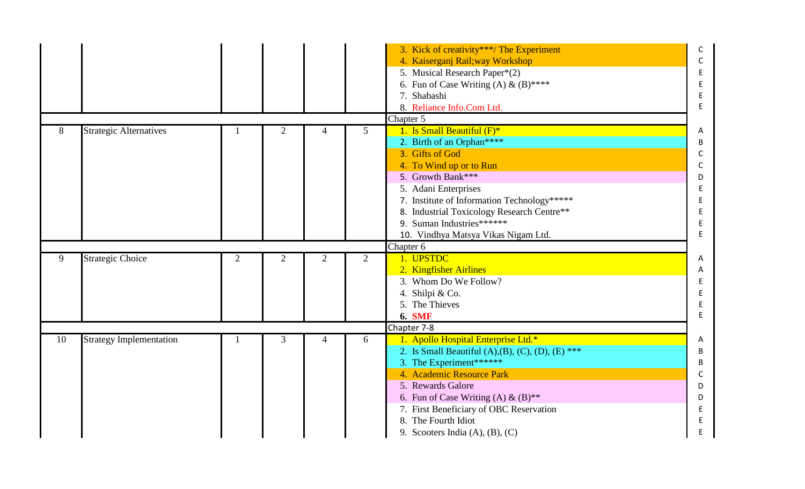|    |                                |                |                |                |                | 3. Kick of creativity***/The Experiment                        | C            |
|----|--------------------------------|----------------|----------------|----------------|----------------|----------------------------------------------------------------|--------------|
|    |                                |                |                |                |                | 4. Kaiserganj Rail; way Workshop                               | C            |
|    |                                |                |                |                |                | 5. Musical Research Paper*(2)                                  |              |
|    |                                |                |                |                |                | 6. Fun of Case Writing (A) & (B)****                           | E            |
|    |                                |                |                |                |                | 7. Shabashi                                                    | E            |
|    |                                |                |                |                |                |                                                                | $\mathsf E$  |
|    |                                |                |                |                |                | 8. Reliance Info.Com Ltd.                                      |              |
|    |                                |                |                |                |                | Chapter 5                                                      |              |
| 8  | <b>Strategic Alternatives</b>  |                | $\overline{2}$ | 4              | 5              | 1. Is Small Beautiful $(F)^*$                                  | Α            |
|    |                                |                |                |                |                | 2. Birth of an Orphan****                                      | B            |
|    |                                |                |                |                |                | 3. Gifts of God                                                | C            |
|    |                                |                |                |                |                | 4. To Wind up or to Run                                        | C            |
|    |                                |                |                |                |                | 5. Growth Bank***                                              | D            |
|    |                                |                |                |                |                | 5. Adani Enterprises                                           | Ε            |
|    |                                |                |                |                |                | 7. Institute of Information Technology*****                    | Ε            |
|    |                                |                |                |                |                | 8. Industrial Toxicology Research Centre**                     | E            |
|    |                                |                |                |                |                | 9. Suman Industries*******                                     | E            |
|    |                                |                |                |                |                | 10. Vindhya Matsya Vikas Nigam Ltd.                            | $\mathsf E$  |
|    |                                |                |                |                |                |                                                                |              |
|    |                                |                |                |                |                | Chapter 6                                                      |              |
| 9  | <b>Strategic Choice</b>        | $\overline{2}$ | $\overline{2}$ | $\overline{2}$ | $\overline{2}$ | 1. UPSTDC                                                      | Α            |
|    |                                |                |                |                |                | 2. Kingfisher Airlines                                         | Α            |
|    |                                |                |                |                |                | 3. Whom Do We Follow?                                          | E            |
|    |                                |                |                |                |                | 4. Shilpi & Co.                                                | E            |
|    |                                |                |                |                |                | 5. The Thieves                                                 | E            |
|    |                                |                |                |                |                |                                                                | E            |
|    |                                |                |                |                |                | <b>6. SMF</b>                                                  |              |
|    |                                |                |                | 4              |                | Chapter 7-8                                                    | A            |
| 10 | <b>Strategy Implementation</b> |                | 3              |                | 6              | 1. Apollo Hospital Enterprise Ltd.*                            |              |
|    |                                |                |                |                |                | 2. Is Small Beautiful (A), (B), (C), (D), (E) ***              | B            |
|    |                                |                |                |                |                | 3. The Experiment******                                        | B            |
|    |                                |                |                |                |                | 4. Academic Resource Park                                      | $\mathsf{C}$ |
|    |                                |                |                |                |                | 5. Rewards Galore                                              | D            |
|    |                                |                |                |                |                | 6. Fun of Case Writing (A) & $(B)$ **                          | D            |
|    |                                |                |                |                |                | 7. First Beneficiary of OBC Reservation                        | E            |
|    |                                |                |                |                |                | 8. The Fourth Idiot<br>9. Scooters India $(A)$ , $(B)$ , $(C)$ | Ε<br>E       |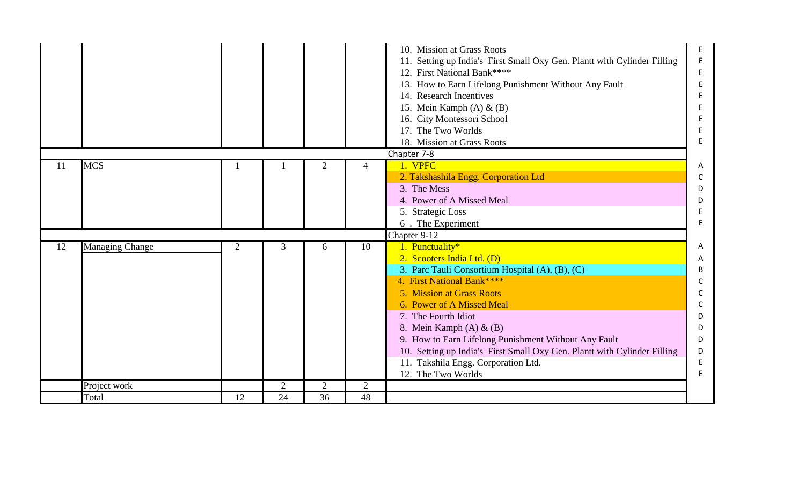|    |                        |                |                      |                      |                      | 10. Mission at Grass Roots<br>11. Setting up India's First Small Oxy Gen. Plantt with Cylinder Filling<br>12. First National Bank****<br>13. How to Earn Lifelong Punishment Without Any Fault<br>14. Research Incentives<br>15. Mein Kamph $(A)$ & $(B)$<br>16. City Montessori School<br>17. The Two Worlds<br>18. Mission at Grass Roots<br>Chapter 7-8                                                                                                      | E.<br>E<br>E.<br>E<br>E<br>E<br>E.                   |
|----|------------------------|----------------|----------------------|----------------------|----------------------|-----------------------------------------------------------------------------------------------------------------------------------------------------------------------------------------------------------------------------------------------------------------------------------------------------------------------------------------------------------------------------------------------------------------------------------------------------------------|------------------------------------------------------|
| 11 | <b>MCS</b>             |                |                      |                      |                      | 1. VPFC<br>2. Takshashila Engg. Corporation Ltd<br>3. The Mess<br>4. Power of A Missed Meal<br>5. Strategic Loss<br>6. The Experiment                                                                                                                                                                                                                                                                                                                           | Α<br>C<br>D<br>D<br>E<br>E                           |
| 12 | <b>Managing Change</b> | $\overline{2}$ | 3                    | 6                    | 10                   | Chapter 9-12<br>1. Punctuality*<br>2. Scooters India Ltd. (D)<br>3. Parc Tauli Consortium Hospital (A), (B), (C)<br>4. First National Bank****<br>5. Mission at Grass Roots<br>6. Power of A Missed Meal<br>7. The Fourth Idiot<br>8. Mein Kamph $(A)$ & $(B)$<br>9. How to Earn Lifelong Punishment Without Any Fault<br>10. Setting up India's First Small Oxy Gen. Plantt with Cylinder Filling<br>11. Takshila Engg. Corporation Ltd.<br>12. The Two Worlds | A<br>A<br>B<br>C<br>C<br>D<br>D<br>D<br>D<br>E<br>E. |
|    | Project work<br>Total  | 12             | $\overline{2}$<br>24 | $\overline{2}$<br>36 | $\overline{2}$<br>48 |                                                                                                                                                                                                                                                                                                                                                                                                                                                                 |                                                      |
|    |                        |                |                      |                      |                      |                                                                                                                                                                                                                                                                                                                                                                                                                                                                 |                                                      |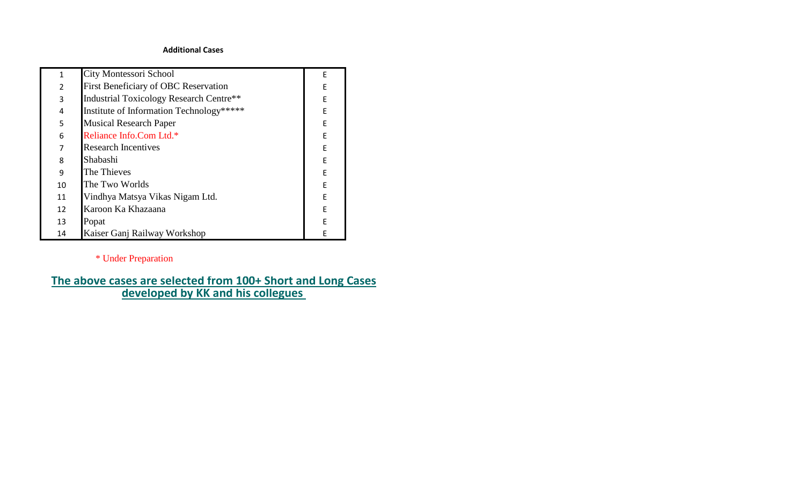## **Additional Cases**

| 1                        | City Montessori School                         | E |
|--------------------------|------------------------------------------------|---|
| $\overline{\mathcal{L}}$ | First Beneficiary of OBC Reservation           | F |
| 3                        | <b>Industrial Toxicology Research Centre**</b> | E |
| 4                        | Institute of Information Technology*****       | F |
| 5                        | <b>Musical Research Paper</b>                  | F |
| 6                        | Reliance Info.Com Ltd.*                        | F |
| 7                        | <b>Research Incentives</b>                     | F |
| 8                        | Shabashi                                       | F |
| 9                        | The Thieves                                    | F |
| 10                       | The Two Worlds                                 | F |
| 11                       | Vindhya Matsya Vikas Nigam Ltd.                | F |
| 12                       | Karoon Ka Khazaana                             | F |
| 13                       | Popat                                          | F |
| 14                       | Kaiser Ganj Railway Workshop                   | F |

## \* Under Preparation

## **[The above cas](http://ekhaikk.co/futkarinfyni.pdf)es are selected from 100+ Short and Long Cases developed by KK and his collegues**